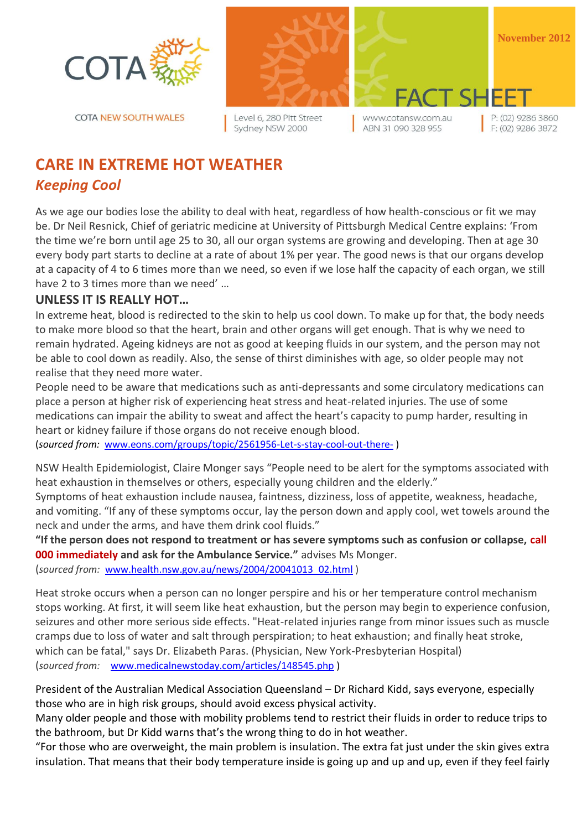

**COTA NEW SOUTH WALES** 



Level 6, 280 Pitt Street Sydney NSW 2000

**November 2012**

www.cotansw.com.au ABN 31 090 328 955

T SI

P: (02) 9286 3860  $F: (02)$  9286 3872

# **CARE IN EXTREME HOT WEATHER** *Keeping Cool*

As we age our bodies lose the ability to deal with heat, regardless of how health-conscious or fit we may be. Dr Neil Resnick, Chief of geriatric medicine at University of Pittsburgh Medical Centre explains: 'From the time we're born until age 25 to 30, all our organ systems are growing and developing. Then at age 30 every body part starts to decline at a rate of about 1% per year. The good news is that our organs develop at a capacity of 4 to 6 times more than we need, so even if we lose half the capacity of each organ, we still have 2 to 3 times more than we need' …

## **UNLESS IT IS REALLY HOT…**

In extreme heat, blood is redirected to the skin to help us cool down. To make up for that, the body needs to make more blood so that the heart, brain and other organs will get enough. That is why we need to remain hydrated. Ageing kidneys are not as good at keeping fluids in our system, and the person may not be able to cool down as readily. Also, the sense of thirst diminishes with age, so older people may not realise that they need more water.

People need to be aware that medications such as anti-depressants and some circulatory medications can place a person at higher risk of experiencing heat stress and heat-related injuries. The use of some medications can impair the ability to sweat and affect the heart's capacity to pump harder, resulting in heart or kidney failure if those organs do not receive enough blood.

(*sourced from:* [www.eons.com/groups/topic/2561956-Let-s-stay-cool-out-there-](http://www.eons.com/groups/topic/2561956-Let-s-stay-cool-out-there-) )

NSW Health Epidemiologist, Claire Monger says "People need to be alert for the symptoms associated with heat exhaustion in themselves or others, especially young children and the elderly."

Symptoms of heat exhaustion include nausea, faintness, dizziness, loss of appetite, weakness, headache, and vomiting. "If any of these symptoms occur, lay the person down and apply cool, wet towels around the neck and under the arms, and have them drink cool fluids."

**"If the person does not respond to treatment or has severe symptoms such as confusion or collapse, call 000 immediately and ask for the Ambulance Service."** advises Ms Monger.

(*sourced from:* [www.health.nsw.gov.au/news/2004/20041013\\_02.html](http://www.health.nsw.gov.au/news/2004/20041013_02.html) )

Heat stroke occurs when a person can no longer perspire and his or her temperature control mechanism stops working. At first, it will seem like heat exhaustion, but the person may begin to experience confusion, seizures and other more serious side effects. "Heat-related injuries range from minor issues such as muscle cramps due to loss of water and salt through perspiration; to heat exhaustion; and finally heat stroke, which can be fatal," says Dr. Elizabeth Paras. (Physician, New York-Presbyterian Hospital) (*sourced from:* [www.medicalnewstoday.com/articles/148545.php](http://www.medicalnewstoday.com/articles/148545.php) )

President of the Australian Medical Association Queensland – Dr Richard Kidd, says everyone, especially those who are in high risk groups, should avoid excess physical activity.

Many older people and those with mobility problems tend to restrict their fluids in order to reduce trips to the bathroom, but Dr Kidd warns that's the wrong thing to do in hot weather.

"For those who are overweight, the main problem is insulation. The extra fat just under the skin gives extra insulation. That means that their body temperature inside is going up and up and up, even if they feel fairly